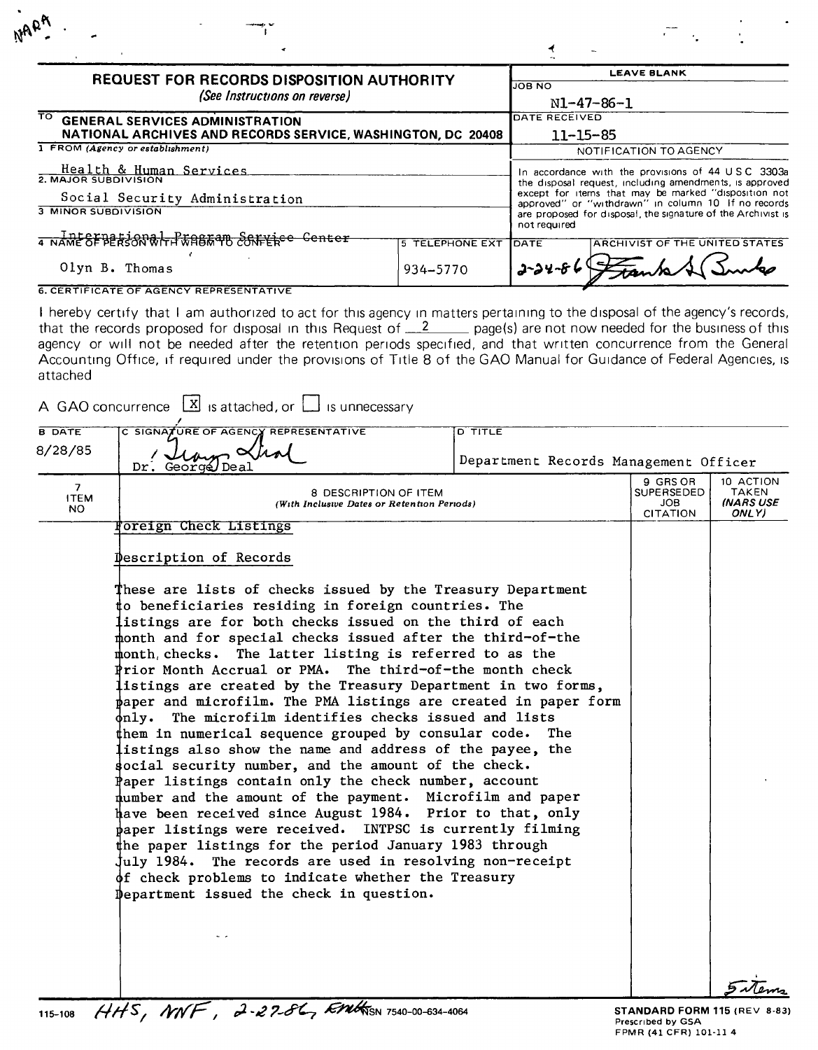| <b>REQUEST FOR RECORDS DISPOSITION AUTHORITY</b><br>(See Instructions on reverse)<br>TO GENERAL SERVICES ADMINISTRATION<br>NATIONAL ARCHIVES AND RECORDS SERVICE, WASHINGTON, DC 20408                                                                                                                      |                        | <b>LEAVE BLANK</b><br><b>JOB NO</b><br>N1-47-86-1<br>DATE RECEIVED<br>$11 - 15 - 85$ |                                       |  |
|-------------------------------------------------------------------------------------------------------------------------------------------------------------------------------------------------------------------------------------------------------------------------------------------------------------|------------------------|--------------------------------------------------------------------------------------|---------------------------------------|--|
|                                                                                                                                                                                                                                                                                                             |                        |                                                                                      |                                       |  |
| In accordance with the provisions of 44 USC 3303a<br>the disposal request, including amendments, is approved<br>except for items that may be marked "disposition not<br>approved" or "withdrawn" in column 10 If no records<br>are proposed for disposal, the signature of the Archivist is<br>not required |                        |                                                                                      |                                       |  |
| 4 NAME SEBERSON RIFFFASE OR SOFFERE Center                                                                                                                                                                                                                                                                  | <b>5 TELEPHONE EXT</b> | <b>TOATE</b>                                                                         | <b>ARCHIVIST OF THE UNITED STATES</b> |  |
| Olyn B. Thomas                                                                                                                                                                                                                                                                                              | 934-5770               | $2 - 24 - 86$                                                                        |                                       |  |

I hereby certify that I am authorized to act for this agency in matters pertaining to the disposal of the agency's records that the records proposed for disposal in this Request of \_\_\_\_\_\_\_\_\_\_ page(s) are not now needed for the business of this agency or Will not be needed after the retention periods specified, and that written concurrence from the General Accounting Office, if required under the provisions of Title 8 of the GAO Manual for Guidance of Federal Agencies, is attached

| <b>B DATE</b>                        | C SIGNATURE OF AGENCY REPRESENTATIVE                                                                                                                                                                                                                                                                                                                                                                                                                                                                                                                                                                                                                                                                                                                                                                                                                                                                                                                                                                                                                                                                                                                                                                                                                                                              | D TITLE                               |                                                         |                                                 |
|--------------------------------------|---------------------------------------------------------------------------------------------------------------------------------------------------------------------------------------------------------------------------------------------------------------------------------------------------------------------------------------------------------------------------------------------------------------------------------------------------------------------------------------------------------------------------------------------------------------------------------------------------------------------------------------------------------------------------------------------------------------------------------------------------------------------------------------------------------------------------------------------------------------------------------------------------------------------------------------------------------------------------------------------------------------------------------------------------------------------------------------------------------------------------------------------------------------------------------------------------------------------------------------------------------------------------------------------------|---------------------------------------|---------------------------------------------------------|-------------------------------------------------|
| 8/28/85                              | Dr. George Deal                                                                                                                                                                                                                                                                                                                                                                                                                                                                                                                                                                                                                                                                                                                                                                                                                                                                                                                                                                                                                                                                                                                                                                                                                                                                                   | Department Records Management Officer |                                                         |                                                 |
| 7 <sup>7</sup><br><b>ITEM</b><br>NO. | 8 DESCRIPTION OF ITEM<br>(With Inclusive Dates or Retention Periods)                                                                                                                                                                                                                                                                                                                                                                                                                                                                                                                                                                                                                                                                                                                                                                                                                                                                                                                                                                                                                                                                                                                                                                                                                              |                                       | 9 GRS OR<br>SUPERSEDED<br><b>JOB</b><br><b>CITATION</b> | 10 ACTION<br><b>TAKEN</b><br>(NARS USE<br>ONLY) |
|                                      | <b>Foreign Check Listings</b>                                                                                                                                                                                                                                                                                                                                                                                                                                                                                                                                                                                                                                                                                                                                                                                                                                                                                                                                                                                                                                                                                                                                                                                                                                                                     |                                       |                                                         |                                                 |
|                                      | Description of Records                                                                                                                                                                                                                                                                                                                                                                                                                                                                                                                                                                                                                                                                                                                                                                                                                                                                                                                                                                                                                                                                                                                                                                                                                                                                            |                                       |                                                         |                                                 |
|                                      | These are lists of checks issued by the Treasury Department<br>to beneficiaries residing in foreign countries. The<br>listings are for both checks issued on the third of each<br>month and for special checks issued after the third-of-the<br>month, checks. The latter listing is referred to as the<br>Prior Month Accrual or PMA. The third-of-the month check<br>listings are created by the Treasury Department in two forms,<br>paper and microfilm. The PMA listings are created in paper form<br>only. The microfilm identifies checks issued and lists<br>$\sharp$ hem in numerical sequence grouped by consular code. The<br>listings also show the name and address of the payee, the<br>social security number, and the amount of the check.<br>Paper listings contain only the check number, account<br>number and the amount of the payment. Microfilm and paper<br>have been received since August 1984. Prior to that, only<br>$\frac{1}{2}$ paper listings were received. INTPSC is currently filming<br>the paper listings for the period January 1983 through<br>july 1984. The records are used in resolving non-receipt<br>of check problems to indicate whether the Treasury<br>Department issued the check in question.<br>$HHS$ , NNF, 2-27-86, Entron 7540-00-634-4064 |                                       |                                                         |                                                 |

STANDARD FORM 115 (REV 8·83) Prescribed by GSA FPMR (41 CFR) 101·11 4